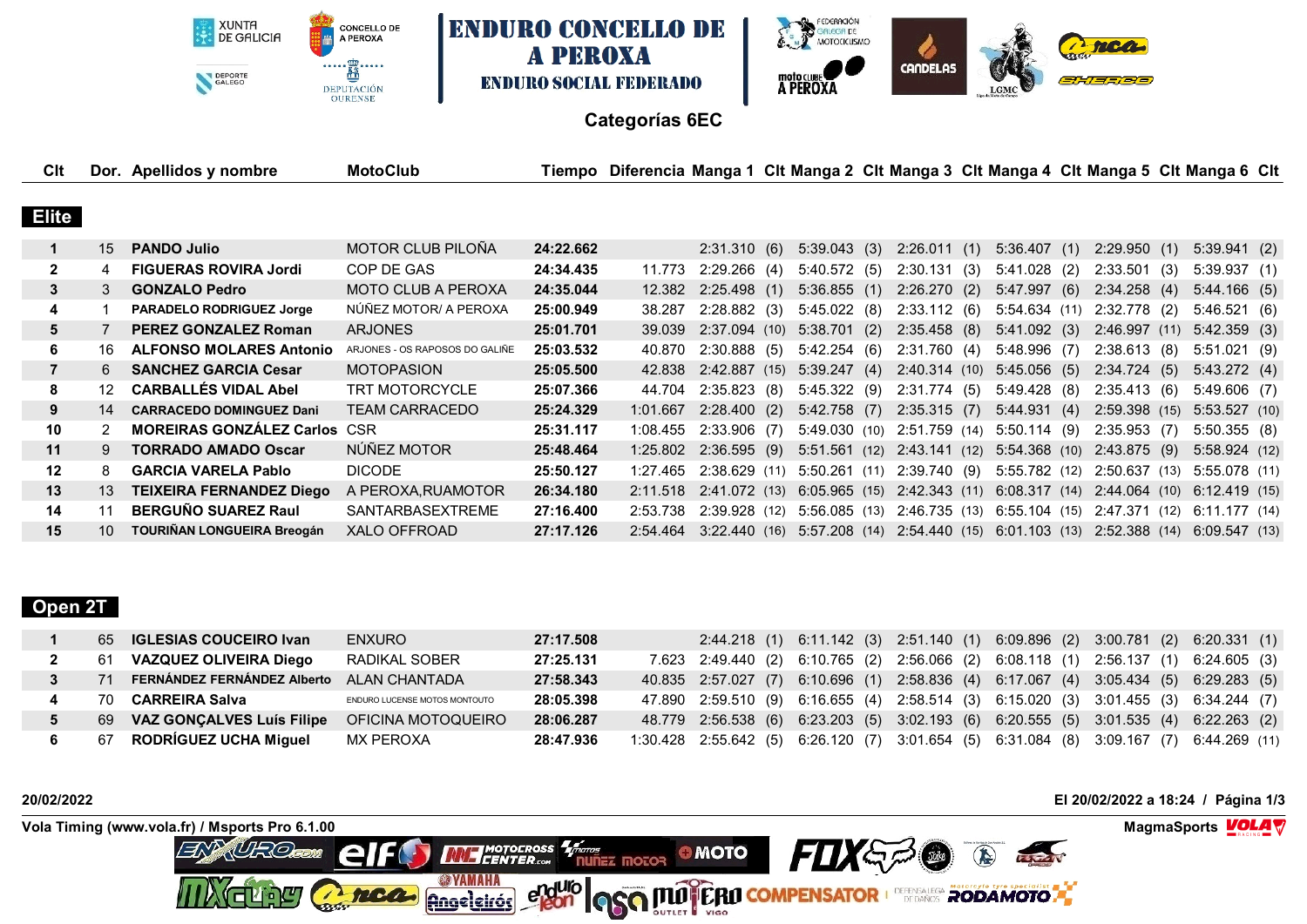XUNTA<br>DE GALICIA **ENDURO CONCELLO DE** CONCELLO DE A PEROXA **A PEROXA**  $\cdots \underbrace{\stackrel{m}{\mathbf{B}}\cdots\cdots}_{\mathbf{C}}$ DEPORTE **ENDURO SOCIAL FEDERADO** DEPUTACIÓN<br>OURENSE



## **Categorías 6EC**

| Clt          |    | Dor. Apellidos y nombre             | MotoClub                       |           | Tiempo Diferencia Manga 1 Clt Manga 2 Clt Manga 3 Clt Manga 4 Clt Manga 5 Clt Manga 6 Clt |                |                             |                                                                       |                |               |     |               |  |
|--------------|----|-------------------------------------|--------------------------------|-----------|-------------------------------------------------------------------------------------------|----------------|-----------------------------|-----------------------------------------------------------------------|----------------|---------------|-----|---------------|--|
|              |    |                                     |                                |           |                                                                                           |                |                             |                                                                       |                |               |     |               |  |
| <b>Elite</b> |    |                                     |                                |           |                                                                                           |                |                             |                                                                       |                |               |     |               |  |
|              | 15 | <b>PANDO Julio</b>                  | MOTOR CLUB PILOÑA              | 24:22.662 |                                                                                           | 2:31.310(6)    | 5:39.043(3)                 | 2:26.011(1)                                                           | 5:36.407(1)    | 2:29.950(1)   |     | 5:39.941(2)   |  |
| $\mathbf{2}$ |    | <b>FIGUERAS ROVIRA Jordi</b>        | COP DE GAS                     | 24:34.435 | 11.773                                                                                    | 2:29.266(4)    | 5:40.572(5)                 | 2:30.131(3)                                                           | $5:41.028$ (2) | 2:33.501      | (3) | 5:39.937(1)   |  |
| 3            | 3  | <b>GONZALO Pedro</b>                | <b>MOTO CLUB A PEROXA</b>      | 24:35.044 | 12.382                                                                                    | $2:25.498$ (1) | 5:36.855(1)                 | 2:26.270(2)                                                           | 5:47.997(6)    | 2:34.258(4)   |     | 5:44.166(5)   |  |
| 4            |    | <b>PARADELO RODRIGUEZ Jorge</b>     | NÚÑEZ MOTOR/ A PEROXA          | 25:00.949 | 38.287                                                                                    | 2:28.882(3)    | 5:45.022(8)                 | 2:33.112(6)                                                           | 5:54.634(11)   | 2:32.778 (2)  |     | 5:46.521(6)   |  |
| 5            |    | <b>PEREZ GONZALEZ Roman</b>         | <b>ARJONES</b>                 | 25:01.701 | 39.039                                                                                    | 2:37.094(10)   | 5:38.701(2)                 | 2:35.458(8)                                                           | 5:41.092(3)    | 2:46.997(11)  |     | 5:42.359(3)   |  |
| 6            | 16 | <b>ALFONSO MOLARES Antonio</b>      | ARJONES - OS RAPOSOS DO GALIÑE | 25:03.532 | 40.870                                                                                    | 2:30.888(5)    | 5:42.254(6)                 | 2:31.760(4)                                                           | 5:48.996(7)    | 2:38.613(8)   |     | 5:51.021(9)   |  |
|              | 6. | <b>SANCHEZ GARCIA Cesar</b>         | <b>MOTOPASION</b>              | 25:05.500 | 42.838                                                                                    | 2:42.887 (15)  | 5:39.247(4)                 | 2:40.314(10)                                                          | 5:45.056(5)    | 2:34.724(5)   |     | 5:43.272(4)   |  |
| 8            |    | <b>CARBALLÉS VIDAL Abel</b>         | TRT MOTORCYCLE                 | 25:07.366 | 44.704                                                                                    | 2:35.823(8)    | 5:45.322(9)                 | 2:31.774(5)                                                           | 5:49.428(8)    | 2:35.413(6)   |     | 5:49.606(7)   |  |
| 9            | 14 | <b>CARRACEDO DOMINGUEZ Dani</b>     | TEAM CARRACEDO                 | 25:24.329 | 1:01.667                                                                                  | 2:28.400(2)    | 5:42.758(7)                 | $2:35.315$ (7)                                                        | 5:44.931(4)    | 2:59.398 (15) |     | 5:53.527(10)  |  |
| 10           |    | <b>MOREIRAS GONZÁLEZ Carlos CSR</b> |                                | 25:31.117 | 1:08.455                                                                                  | $2:33.906$ (7) | 5:49.030(10)                | 2:51.759 (14) 5:50.114 (9)                                            |                | 2:35.953(7)   |     | 5:50.355(8)   |  |
| 11           | 9  | <b>TORRADO AMADO Oscar</b>          | NÚÑEZ MOTOR                    | 25:48.464 | 1:25.802                                                                                  | 2:36.595(9)    | 5:51.561(12)                | 2:43.141 (12) 5:54.368 (10)                                           |                | 2:43.875 (9)  |     | 5:58.924 (12) |  |
| 12           | 8  | <b>GARCIA VARELA Pablo</b>          | DICODE                         | 25:50.127 | 1:27.465                                                                                  | 2:38.629(11)   | 5:50.261 (11)               | 2:39.740 (9)                                                          | 5:55.782 (12)  | 2:50.637 (13) |     | 5:55.078 (11) |  |
| 13           | 13 | TEIXEIRA FERNANDEZ Diego            | A PEROXA, RUAMOTOR             | 26:34.180 | 2:11.518                                                                                  |                | 2:41.072 (13) 6:05.965 (15) | 2:42.343 (11)                                                         | 6:08.317(14)   | 2:44.064(10)  |     | 6:12.419 (15) |  |
| 14           | 11 | <b>BERGUÑO SUAREZ Raul</b>          | <b>SANTARBASEXTREME</b>        | 27:16.400 | 2:53.738                                                                                  | 2:39.928(12)   | 5:56.085 (13)               | 2:46.735 (13) 6:55.104 (15)                                           |                | 2:47.371 (12) |     | 6:11.177 (14) |  |
| 15           | 10 | <b>TOURIÑAN LONGUEIRA Breogán</b>   | XALO OFFROAD                   | 27:17.126 | 2:54.464                                                                                  |                |                             | 3:22.440 (16) 5:57.208 (14) 2:54.440 (15) 6:01.103 (13) 2:52.388 (14) |                |               |     | 6:09.547 (13) |  |
|              |    |                                     |                                |           |                                                                                           |                |                             |                                                                       |                |               |     |               |  |

# **Open 2T**

|      | 65 <b>IGLESIAS COUCEIRO Ivan</b> | <b>ENXURO</b>                 | 27:17.508 |  |                                                                                         |  | 2:44.218 (1) 6:11.142 (3) 2:51.140 (1) 6:09.896 (2) 3:00.781 (2) 6:20.331 (1) |
|------|----------------------------------|-------------------------------|-----------|--|-----------------------------------------------------------------------------------------|--|-------------------------------------------------------------------------------|
| - 61 | <b>VAZQUEZ OLIVEIRA Diego</b>    | RADIKAL SOBER                 | 27:25.131 |  | 7.623 2:49.440 (2) 6:10.765 (2) 2:56.066 (2) 6:08.118 (1) 2:56.137 (1) 6:24.605 (3)     |  |                                                                               |
| 71   | FERNÁNDEZ FERNÁNDEZ Alberto      | <b>ALAN CHANTADA</b>          | 27:58.343 |  | 40.835 2:57.027 (7) 6:10.696 (1) 2:58.836 (4) 6:17.067 (4) 3:05.434 (5) 6:29.283 (5)    |  |                                                                               |
| 70   | CARREIRA Salva                   | ENDURO LUCENSE MOTOS MONTOUTO | 28:05.398 |  | 47.890 2:59.510 (9) 6:16.655 (4) 2:58.514 (3) 6:15.020 (3) 3:01.455 (3) 6:34.244 (7)    |  |                                                                               |
| 69   | <b>VAZ GONCALVES Luís Filipe</b> | OFICINA MOTOQUEIRO            | 28:06.287 |  | 48.779 2:56.538 (6) 6:23.203 (5) 3:02.193 (6) 6:20.555 (5) 3:01.535 (4) 6:22.263 (2)    |  |                                                                               |
|      | 67 RODRÍGUEZ UCHA Miguel         | MX PEROXA                     | 28:47.936 |  | 1:30.428 2:55.642 (5) 6:26.120 (7) 3:01.654 (5) 6:31.084 (8) 3:09.167 (7) 6:44.269 (11) |  |                                                                               |

**20/02/2022 El 20/02/2022 a 18:24 / Página 1/3**

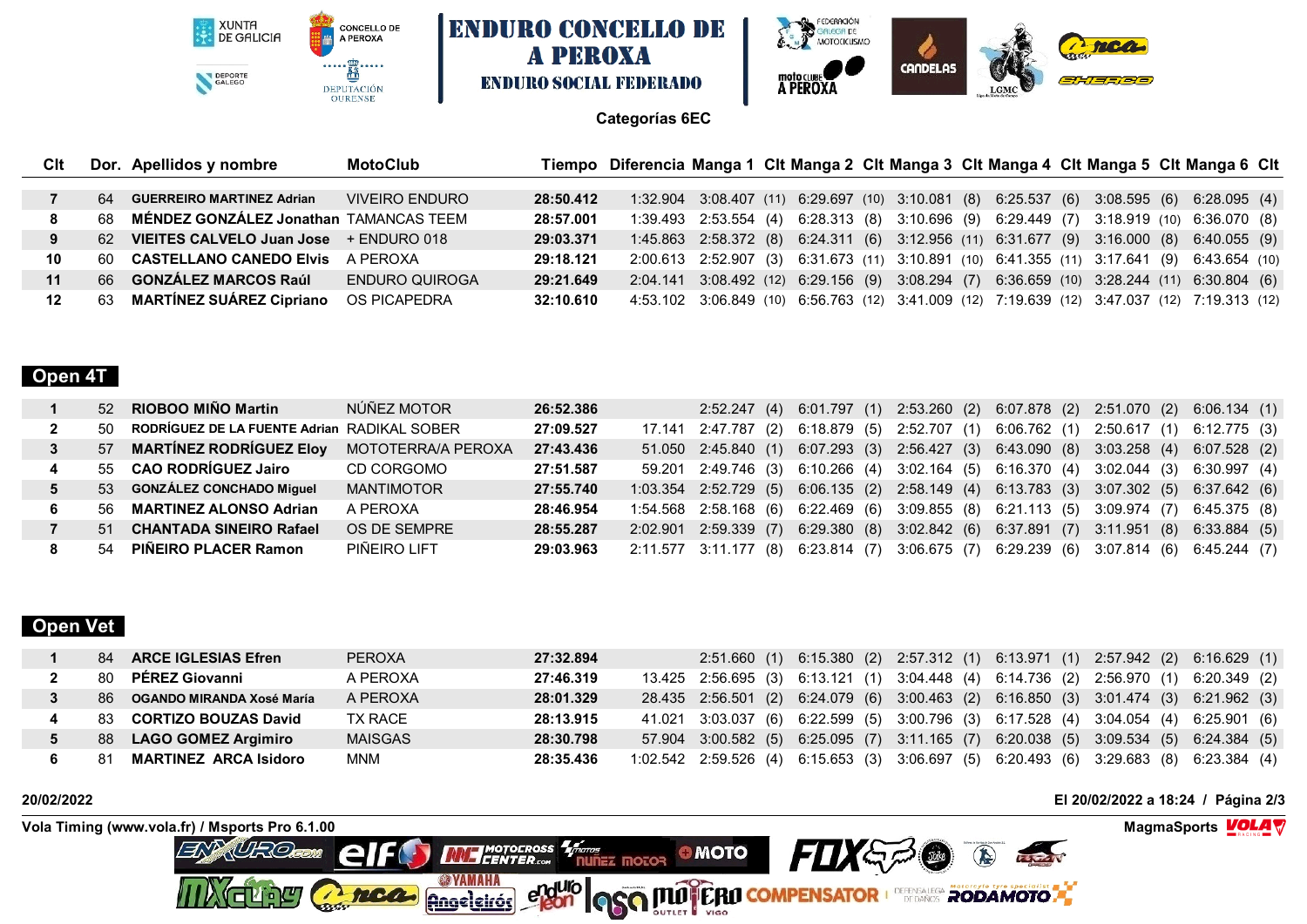XUNTA<br>DE GALICIA CONCELLO DE A PEROXA  $\cdots \underbrace{\stackrel{m}{\mathbf{B}}\cdots\cdots}_{\mathbf{C}}$ DEPORTE DEPUTACIÓN<br>OURENSE





### **Categorías 6EC**

| Clt |     | Dor. Apellidos y nombre                   | <b>MotoClub</b> |           | Tiempo Diferencia Manga 1 Clt Manga 2 Clt Manga 3 Clt Manga 4 Clt Manga 5 Clt Manga 6 Clt |  |  |  |  |  |                                                                                              |  |
|-----|-----|-------------------------------------------|-----------------|-----------|-------------------------------------------------------------------------------------------|--|--|--|--|--|----------------------------------------------------------------------------------------------|--|
|     |     |                                           |                 |           |                                                                                           |  |  |  |  |  |                                                                                              |  |
|     | 64  | <b>GUERREIRO MARTINEZ Adrian</b>          | VIVEIRO ENDURO  | 28:50.412 |                                                                                           |  |  |  |  |  | 1:32.904 3:08.407 (11) 6:29.697 (10) 3:10.081 (8) 6:25.537 (6) 3:08.595 (6) 6:28.095 (4)     |  |
|     | 68  | MÉNDEZ GONZÁLEZ Jonathan TAMANCAS TEEM    |                 | 28:57.001 |                                                                                           |  |  |  |  |  | 1:39.493 2:53.554 (4) 6:28.313 (8) 3:10.696 (9) 6:29.449 (7) 3:18.919 (10) 6:36.070 (8)      |  |
|     |     | 62 VIEITES CALVELO Juan Jose + ENDURO 018 |                 | 29:03.371 |                                                                                           |  |  |  |  |  | 1:45.863 2:58.372 (8) 6:24.311 (6) 3:12.956 (11) 6:31.677 (9) 3:16.000 (8) 6:40.055 (9)      |  |
| 10  | -60 | <b>CASTELLANO CANEDO Elvis</b>            | A PEROXA        | 29:18.121 |                                                                                           |  |  |  |  |  | 2:00.613 2:52.907 (3) 6:31.673 (11) 3:10.891 (10) 6:41.355 (11) 3:17.641 (9) 6:43.654 (10)   |  |
| 11  | 66  | <b>GONZÁLEZ MARCOS Raúl</b>               | ENDURO QUIROGA  | 29:21.649 |                                                                                           |  |  |  |  |  | 2:04.141 3:08.492 (12) 6:29.156 (9) 3:08.294 (7) 6:36.659 (10) 3:28.244 (11) 6:30.804 (6)    |  |
| 12  | 63  | <b>MARTÍNEZ SUÁREZ Cipriano</b>           | OS PICAPEDRA    | 32:10.610 |                                                                                           |  |  |  |  |  | 4:53.102 3:06.849 (10) 6:56.763 (12) 3:41.009 (12) 7:19.639 (12) 3:47.037 (12) 7:19.313 (12) |  |

## **Open 4T**

|     | 52 RIOBOO MIÑO Martin                       | NÚÑEZ MOTOR        | 26:52.386 |  |                                                                                        |  | 2:52.247 (4) 6:01.797 (1) 2:53.260 (2) 6:07.878 (2) 2:51.070 (2) 6:06.134 (1) |
|-----|---------------------------------------------|--------------------|-----------|--|----------------------------------------------------------------------------------------|--|-------------------------------------------------------------------------------|
| 50. | RODRÍGUEZ DE LA FUENTE Adrian RADIKAL SOBER |                    | 27:09.527 |  | 17.141 2:47.787 (2) 6:18.879 (5) 2:52.707 (1) 6:06.762 (1) 2:50.617 (1) 6:12.775 (3)   |  |                                                                               |
|     | 57 MARTÍNEZ RODRÍGUEZ Eloy                  | MOTOTERRA/A PEROXA | 27:43.436 |  | 51.050 2:45.840 (1) 6:07.293 (3) 2:56.427 (3) 6:43.090 (8) 3:03.258 (4) 6:07.528 (2)   |  |                                                                               |
|     | 55 CAO RODRÍGUEZ Jairo                      | CD CORGOMO         | 27:51.587 |  | 59.201 2:49.746 (3) 6:10.266 (4) 3:02.164 (5) 6:16.370 (4) 3:02.044 (3) 6:30.997 (4)   |  |                                                                               |
|     | 53 GONZÁLEZ CONCHADO Miguel                 | MANTIMOTOR         | 27:55.740 |  | 1:03.354 2:52.729 (5) 6:06.135 (2) 2:58.149 (4) 6:13.783 (3) 3:07.302 (5) 6:37.642 (6) |  |                                                                               |
|     | 56 MARTINEZ ALONSO Adrian                   | A PEROXA           | 28:46.954 |  | 1:54.568 2:58.168 (6) 6:22.469 (6) 3:09.855 (8) 6:21.113 (5) 3:09.974 (7) 6:45.375 (8) |  |                                                                               |
| 51  | <b>CHANTADA SINEIRO Rafael</b>              | OS DE SEMPRE       | 28:55.287 |  | 2:02.901 2:59.339 (7) 6:29.380 (8) 3:02.842 (6) 6:37.891 (7) 3:11.951 (8) 6:33.884 (5) |  |                                                                               |
|     | 54 PIÑEIRO PLACER Ramon                     | PIÑEIRO LIFT       | 29:03.963 |  | 2:11.577 3:11.177 (8) 6:23.814 (7) 3:06.675 (7) 6:29.239 (6) 3:07.814 (6) 6:45.244 (7) |  |                                                                               |

# **Open Vet**

| <b>ARCE IGLESIAS Efren</b><br>84       | <b>PEROXA</b>  | 27:32.894 |  |  |  | 2:51.660 (1) 6:15.380 (2) 2:57.312 (1) 6:13.971 (1) 2:57.942 (2) 6:16.629 (1)          |  |
|----------------------------------------|----------------|-----------|--|--|--|----------------------------------------------------------------------------------------|--|
| <b>PEREZ Giovanni</b><br>-80           | A PEROXA       | 27:46.319 |  |  |  | 13.425 2:56.695 (3) 6:13.121 (1) 3:04.448 (4) 6:14.736 (2) 2:56.970 (1) 6:20.349 (2)   |  |
| <b>86</b><br>OGANDO MIRANDA Xosé María | A PFROXA       | 28:01.329 |  |  |  | 28.435 2:56.501 (2) 6:24.079 (6) 3:00.463 (2) 6:16.850 (3) 3:01.474 (3) 6:21.962 (3)   |  |
| <b>CORTIZO BOUZAS David</b><br>83.     | TX RACE        | 28:13.915 |  |  |  | 41.021 3:03.037 (6) 6:22.599 (5) 3:00.796 (3) 6:17.528 (4) 3:04.054 (4) 6:25.901 (6)   |  |
| <b>LAGO GOMEZ Argimiro</b><br>-88      | <b>MAISGAS</b> | 28:30.798 |  |  |  | 57.904 3:00.582 (5) 6:25.095 (7) 3:11.165 (7) 6:20.038 (5) 3:09.534 (5) 6:24.384 (5)   |  |
| <b>MARTINEZ ARCA Isidoro</b><br>-81    | MNM            | 28:35.436 |  |  |  | 1:02.542 2:59.526 (4) 6:15.653 (3) 3:06.697 (5) 6:20.493 (6) 3:29.683 (8) 6:23.384 (4) |  |

**20/02/2022 El 20/02/2022 a 18:24 / Página 2/3**